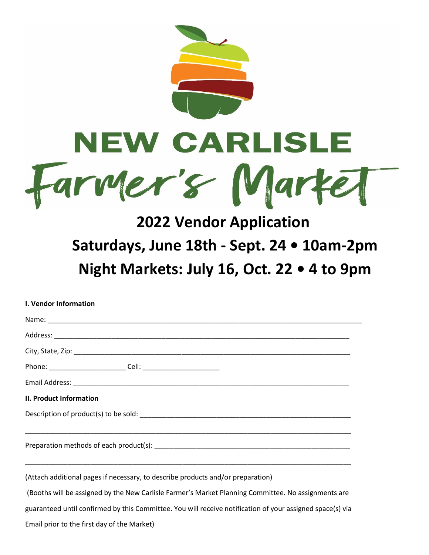

# **2022 Vendor Application Saturdays, June 18th - Sept. 24 • 10am-2pm Night Markets: July 16, Oct. 22 • 4 to 9pm**

| <b>I. Vendor Information</b>                                                                              |  |  |
|-----------------------------------------------------------------------------------------------------------|--|--|
|                                                                                                           |  |  |
|                                                                                                           |  |  |
|                                                                                                           |  |  |
|                                                                                                           |  |  |
|                                                                                                           |  |  |
| <b>II. Product Information</b>                                                                            |  |  |
|                                                                                                           |  |  |
|                                                                                                           |  |  |
| (Attach additional pages if necessary, to describe products and/or preparation)                           |  |  |
| (Booths will be assigned by the New Carlisle Farmer's Market Planning Committee. No assignments are       |  |  |
| guaranteed until confirmed by this Committee. You will receive notification of your assigned space(s) via |  |  |

Email prior to the first day of the Market)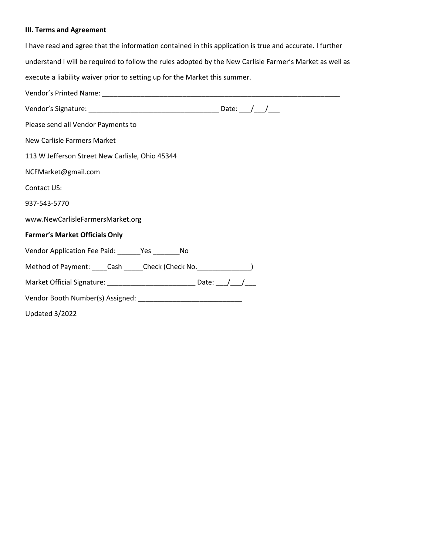# **III. Terms and Agreement**

| I have read and agree that the information contained in this application is true and accurate. I further |  |  |
|----------------------------------------------------------------------------------------------------------|--|--|
| understand I will be required to follow the rules adopted by the New Carlisle Farmer's Market as well as |  |  |
| execute a liability waiver prior to setting up for the Market this summer.                               |  |  |
|                                                                                                          |  |  |
|                                                                                                          |  |  |
| Please send all Vendor Payments to                                                                       |  |  |
| <b>New Carlisle Farmers Market</b>                                                                       |  |  |
| 113 W Jefferson Street New Carlisle, Ohio 45344                                                          |  |  |
| NCFMarket@gmail.com                                                                                      |  |  |
| Contact US:                                                                                              |  |  |
| 937-543-5770                                                                                             |  |  |
| www.NewCarlisleFarmersMarket.org                                                                         |  |  |
| <b>Farmer's Market Officials Only</b>                                                                    |  |  |
| Vendor Application Fee Paid: _______Yes ___________No                                                    |  |  |
| Method of Payment: ____Cash _____Check (Check No. _______________)                                       |  |  |
| Market Official Signature: _____________________________ Date: ___/___/____                              |  |  |
|                                                                                                          |  |  |
| Updated 3/2022                                                                                           |  |  |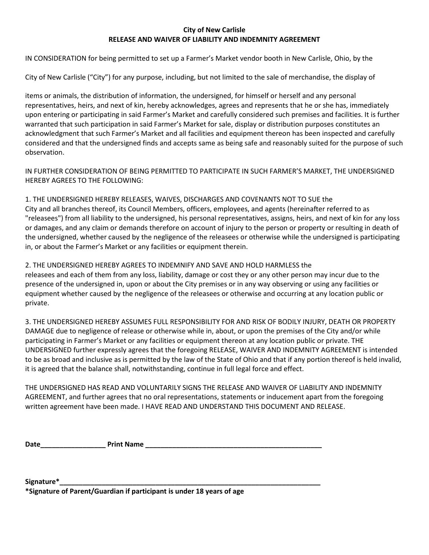## **City of New Carlisle RELEASE AND WAIVER OF LIABILITY AND INDEMNITY AGREEMENT**

IN CONSIDERATION for being permitted to set up a Farmer's Market vendor booth in New Carlisle, Ohio, by the

City of New Carlisle ("City") for any purpose, including, but not limited to the sale of merchandise, the display of

items or animals, the distribution of information, the undersigned, for himself or herself and any personal representatives, heirs, and next of kin, hereby acknowledges, agrees and represents that he or she has, immediately upon entering or participating in said Farmer's Market and carefully considered such premises and facilities. It is further warranted that such participation in said Farmer's Market for sale, display or distribution purposes constitutes an acknowledgment that such Farmer's Market and all facilities and equipment thereon has been inspected and carefully considered and that the undersigned finds and accepts same as being safe and reasonably suited for the purpose of such observation.

IN FURTHER CONSIDERATION OF BEING PERMITTED TO PARTICIPATE IN SUCH FARMER'S MARKET, THE UNDERSIGNED HEREBY AGREES TO THE FOLLOWING:

1. THE UNDERSIGNED HEREBY RELEASES, WAIVES, DISCHARGES AND COVENANTS NOT TO SUE the City and all branches thereof, its Council Members, officers, employees, and agents (hereinafter referred to as "releasees") from all liability to the undersigned, his personal representatives, assigns, heirs, and next of kin for any loss or damages, and any claim or demands therefore on account of injury to the person or property or resulting in death of the undersigned, whether caused by the negligence of the releasees or otherwise while the undersigned is participating in, or about the Farmer's Market or any facilities or equipment therein.

2. THE UNDERSIGNED HEREBY AGREES TO INDEMNIFY AND SAVE AND HOLD HARMLESS the releasees and each of them from any loss, liability, damage or cost they or any other person may incur due to the presence of the undersigned in, upon or about the City premises or in any way observing or using any facilities or equipment whether caused by the negligence of the releasees or otherwise and occurring at any location public or private.

3. THE UNDERSIGNED HEREBY ASSUMES FULL RESPONSIBILITY FOR AND RISK OF BODILY INJURY, DEATH OR PROPERTY DAMAGE due to negligence of release or otherwise while in, about, or upon the premises of the City and/or while participating in Farmer's Market or any facilities or equipment thereon at any location public or private. THE UNDERSIGNED further expressly agrees that the foregoing RELEASE, WAIVER AND INDEMNITY AGREEMENT is intended to be as broad and inclusive as is permitted by the law of the State of Ohio and that if any portion thereof is held invalid, it is agreed that the balance shall, notwithstanding, continue in full legal force and effect.

THE UNDERSIGNED HAS READ AND VOLUNTARILY SIGNS THE RELEASE AND WAIVER OF LIABILITY AND INDEMNITY AGREEMENT, and further agrees that no oral representations, statements or inducement apart from the foregoing written agreement have been made. I HAVE READ AND UNDERSTAND THIS DOCUMENT AND RELEASE.

**Date\_\_\_\_\_\_\_\_\_\_\_\_\_\_\_\_\_ Print Name \_\_\_\_\_\_\_\_\_\_\_\_\_\_\_\_\_\_\_\_\_\_\_\_\_\_\_\_\_\_\_\_\_\_\_\_\_\_\_\_\_\_\_\_\_\_**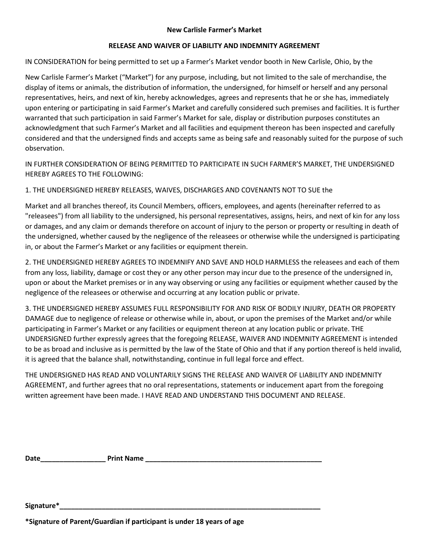### **New Carlisle Farmer's Market**

### **RELEASE AND WAIVER OF LIABILITY AND INDEMNITY AGREEMENT**

IN CONSIDERATION for being permitted to set up a Farmer's Market vendor booth in New Carlisle, Ohio, by the

New Carlisle Farmer's Market ("Market") for any purpose, including, but not limited to the sale of merchandise, the display of items or animals, the distribution of information, the undersigned, for himself or herself and any personal representatives, heirs, and next of kin, hereby acknowledges, agrees and represents that he or she has, immediately upon entering or participating in said Farmer's Market and carefully considered such premises and facilities. It is further warranted that such participation in said Farmer's Market for sale, display or distribution purposes constitutes an acknowledgment that such Farmer's Market and all facilities and equipment thereon has been inspected and carefully considered and that the undersigned finds and accepts same as being safe and reasonably suited for the purpose of such observation.

IN FURTHER CONSIDERATION OF BEING PERMITTED TO PARTICIPATE IN SUCH FARMER'S MARKET, THE UNDERSIGNED HEREBY AGREES TO THE FOLLOWING:

1. THE UNDERSIGNED HEREBY RELEASES, WAIVES, DISCHARGES AND COVENANTS NOT TO SUE the

Market and all branches thereof, its Council Members, officers, employees, and agents (hereinafter referred to as "releasees") from all liability to the undersigned, his personal representatives, assigns, heirs, and next of kin for any loss or damages, and any claim or demands therefore on account of injury to the person or property or resulting in death of the undersigned, whether caused by the negligence of the releasees or otherwise while the undersigned is participating in, or about the Farmer's Market or any facilities or equipment therein.

2. THE UNDERSIGNED HEREBY AGREES TO INDEMNIFY AND SAVE AND HOLD HARMLESS the releasees and each of them from any loss, liability, damage or cost they or any other person may incur due to the presence of the undersigned in, upon or about the Market premises or in any way observing or using any facilities or equipment whether caused by the negligence of the releasees or otherwise and occurring at any location public or private.

3. THE UNDERSIGNED HEREBY ASSUMES FULL RESPONSIBILITY FOR AND RISK OF BODILY INJURY, DEATH OR PROPERTY DAMAGE due to negligence of release or otherwise while in, about, or upon the premises of the Market and/or while participating in Farmer's Market or any facilities or equipment thereon at any location public or private. THE UNDERSIGNED further expressly agrees that the foregoing RELEASE, WAIVER AND INDEMNITY AGREEMENT is intended to be as broad and inclusive as is permitted by the law of the State of Ohio and that if any portion thereof is held invalid, it is agreed that the balance shall, notwithstanding, continue in full legal force and effect.

THE UNDERSIGNED HAS READ AND VOLUNTARILY SIGNS THE RELEASE AND WAIVER OF LIABILITY AND INDEMNITY AGREEMENT, and further agrees that no oral representations, statements or inducement apart from the foregoing written agreement have been made. I HAVE READ AND UNDERSTAND THIS DOCUMENT AND RELEASE.

**Date\_\_\_\_\_\_\_\_\_\_\_\_\_\_\_\_\_ Print Name \_\_\_\_\_\_\_\_\_\_\_\_\_\_\_\_\_\_\_\_\_\_\_\_\_\_\_\_\_\_\_\_\_\_\_\_\_\_\_\_\_\_\_\_\_\_** 

**Signature\*\_\_\_\_\_\_\_\_\_\_\_\_\_\_\_\_\_\_\_\_\_\_\_\_\_\_\_\_\_\_\_\_\_\_\_\_\_\_\_\_\_\_\_\_\_\_\_\_\_\_\_\_\_\_\_\_\_\_\_\_\_\_\_\_\_\_\_\_** 

**\*Signature of Parent/Guardian if participant is under 18 years of age**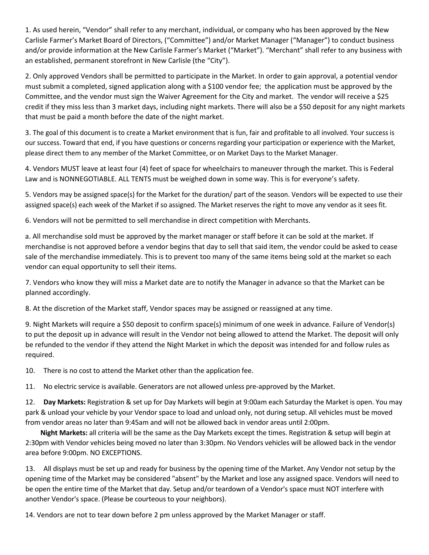1. As used herein, "Vendor" shall refer to any merchant, individual, or company who has been approved by the New Carlisle Farmer's Market Board of Directors, ("Committee") and/or Market Manager ("Manager") to conduct business and/or provide information at the New Carlisle Farmer's Market ("Market"). "Merchant" shall refer to any business with an established, permanent storefront in New Carlisle (the "City").

2. Only approved Vendors shall be permitted to participate in the Market. In order to gain approval, a potential vendor must submit a completed, signed application along with a \$100 vendor fee; the application must be approved by the Committee, and the vendor must sign the Waiver Agreement for the City and market. The vendor will receive a \$25 credit if they miss less than 3 market days, including night markets. There will also be a \$50 deposit for any night markets that must be paid a month before the date of the night market.

3. The goal of this document is to create a Market environment that is fun, fair and profitable to all involved. Your success is our success. Toward that end, if you have questions or concerns regarding your participation or experience with the Market, please direct them to any member of the Market Committee, or on Market Days to the Market Manager.

4. Vendors MUST leave at least four (4) feet of space for wheelchairs to maneuver through the market. This is Federal Law and is NONNEGOTIABLE. ALL TENTS must be weighed down in some way. This is for everyone's safety.

5. Vendors may be assigned space(s) for the Market for the duration/ part of the season. Vendors will be expected to use their assigned space(s) each week of the Market if so assigned. The Market reserves the right to move any vendor as it sees fit.

6. Vendors will not be permitted to sell merchandise in direct competition with Merchants.

a. All merchandise sold must be approved by the market manager or staff before it can be sold at the market. If merchandise is not approved before a vendor begins that day to sell that said item, the vendor could be asked to cease sale of the merchandise immediately. This is to prevent too many of the same items being sold at the market so each vendor can equal opportunity to sell their items.

7. Vendors who know they will miss a Market date are to notify the Manager in advance so that the Market can be planned accordingly.

8. At the discretion of the Market staff, Vendor spaces may be assigned or reassigned at any time.

9. Night Markets will require a \$50 deposit to confirm space(s) minimum of one week in advance. Failure of Vendor(s) to put the deposit up in advance will result in the Vendor not being allowed to attend the Market. The deposit will only be refunded to the vendor if they attend the Night Market in which the deposit was intended for and follow rules as required.

10. There is no cost to attend the Market other than the application fee.

11. No electric service is available. Generators are not allowed unless pre-approved by the Market.

12. **Day Markets:** Registration & set up for Day Markets will begin at 9:00am each Saturday the Market is open. You may park & unload your vehicle by your Vendor space to load and unload only, not during setup. All vehicles must be moved from vendor areas no later than 9:45am and will not be allowed back in vendor areas until 2:00pm.

 **Night Markets:** all criteria will be the same as the Day Markets except the times. Registration & setup will begin at 2:30pm with Vendor vehicles being moved no later than 3:30pm. No Vendors vehicles will be allowed back in the vendor area before 9:00pm. NO EXCEPTIONS.

13. All displays must be set up and ready for business by the opening time of the Market. Any Vendor not setup by the opening time of the Market may be considered "absent" by the Market and lose any assigned space. Vendors will need to be open the entire time of the Market that day. Setup and/or teardown of a Vendor's space must NOT interfere with another Vendor's space. (Please be courteous to your neighbors).

14. Vendors are not to tear down before 2 pm unless approved by the Market Manager or staff.